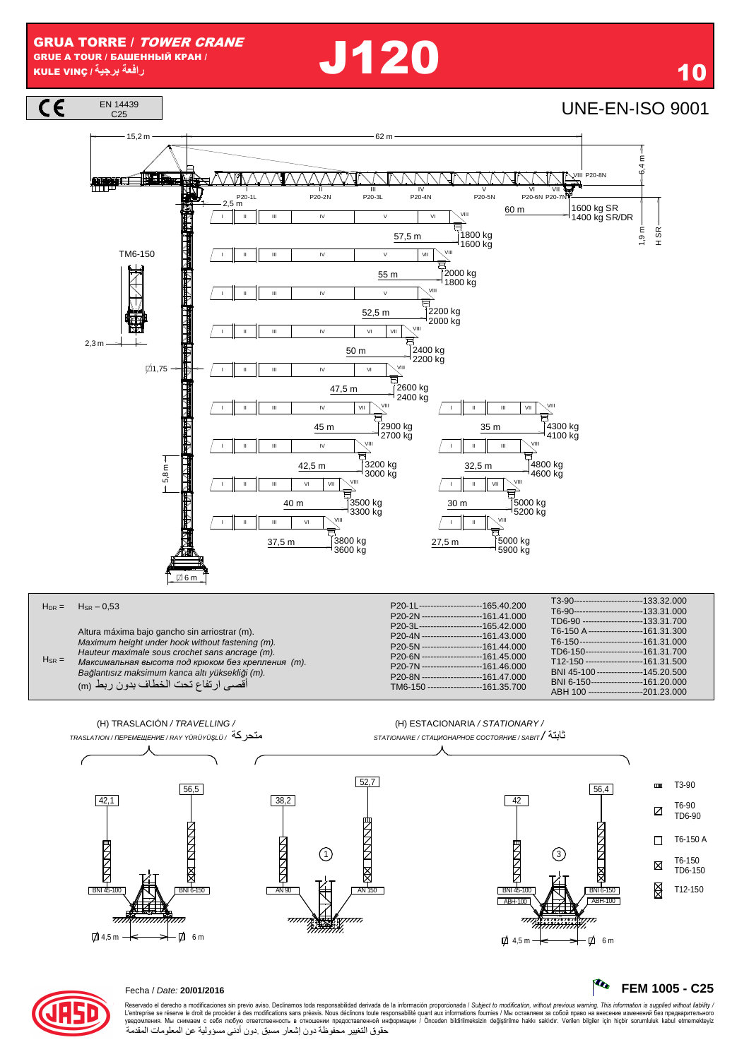**1120** 10







## Fecha / Date: **20/01/2016 FEM 1005 - C25**

Reservado el derecho a modificaciones sin previo aviso. Declinamos toda responsabilidad derivada de la información proporcionada / Subjec*t to modification, without previous warning. This information is supplied without l* حقوق التغيير محفوظة دون إشعار مسبق دون أدنى مسؤولية عن المعلومات المقدمة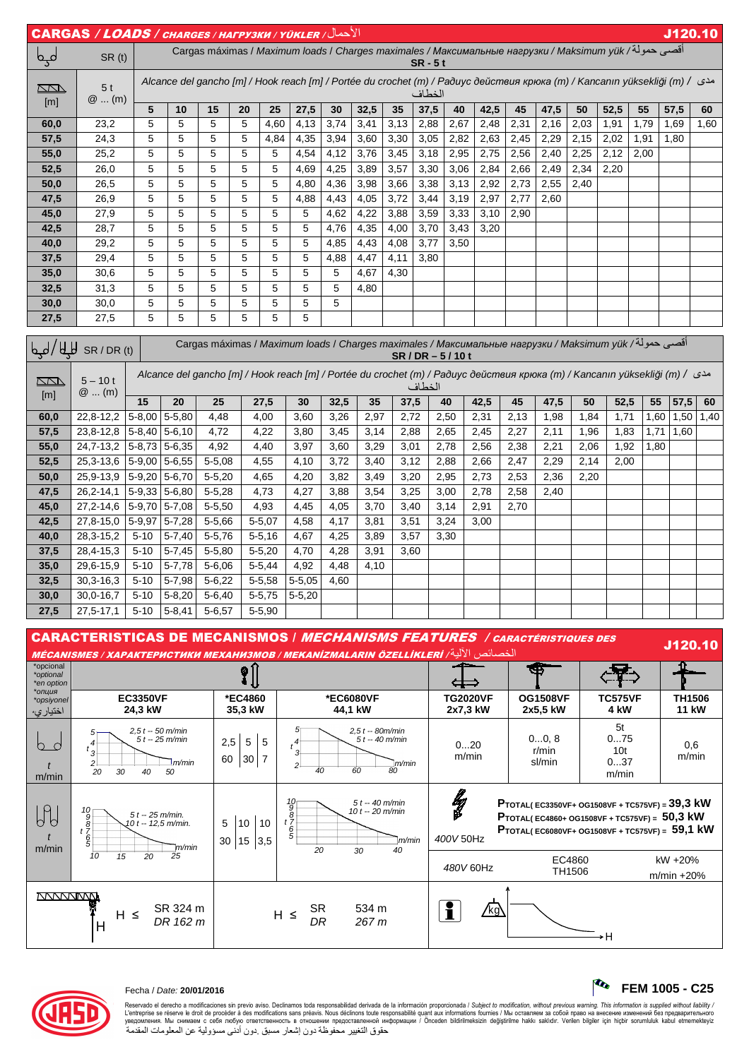|            | الأحمال/ CARGAS / LOADS / CHARGES / HAFPY3KW / YÜKLER |   |                                                                                                                                   |    |    |      |      |      |      |      |      |                          |                          |      |      |      |      |      |      | J120.10                  |
|------------|-------------------------------------------------------|---|-----------------------------------------------------------------------------------------------------------------------------------|----|----|------|------|------|------|------|------|--------------------------|--------------------------|------|------|------|------|------|------|--------------------------|
| مہم        | SR(t)                                                 |   | أقصي حمولة/ Cargas máximas / Maximum loads / Charges maximales / Максимальные нагрузки / Maksimum yük<br>$SR - 5t$                |    |    |      |      |      |      |      |      |                          |                          |      |      |      |      |      |      |                          |
| $\Box\Box$ | 5 <sub>t</sub><br>$@$ (m)                             |   | Alcance del gancho [m] / Hook reach [m] / Portée du crochet (m) / Радиус действия крюка (m) / Kancanın yüksekliği (m) /<br>الخطاف |    |    |      |      |      |      |      |      |                          |                          |      |      |      |      |      |      |                          |
| [m]        |                                                       | 5 | 10                                                                                                                                | 15 | 20 | 25   | 27,5 | 30   | 32,5 | 35   | 37,5 | 40                       | 42,5                     | 45   | 47,5 | 50   | 52,5 | 55   | 57,5 | 60                       |
| 60,0       | 23,2                                                  | 5 | 5                                                                                                                                 | 5  | 5  | 4,60 | 4,13 | 3,74 | 3,41 | 3,13 | 2,88 | 2,67                     | 2,48                     | 2,31 | 2,16 | 2,03 | 1,91 | 1,79 | 1,69 | 1,60                     |
| 57,5       | 24,3                                                  | 5 | 5                                                                                                                                 | 5  | 5  | 4,84 | 4,35 | 3,94 | 3,60 | 3,30 | 3,05 | 2,82                     | 2,63                     | 2,45 | 2,29 | 2,15 | 2,02 | 1,91 | 1,80 | $\overline{\phantom{0}}$ |
| 55,0       | 25,2                                                  | 5 | 5                                                                                                                                 | 5  | 5  | 5    | 4,54 | 4,12 | 3,76 | 3,45 | 3,18 | 2,95                     | 2,75                     | 2,56 | 2,40 | 2,25 | 2,12 | 2,00 |      |                          |
| 52,5       | 26,0                                                  | 5 | 5                                                                                                                                 | 5  | 5  | 5    | 4,69 | 4,25 | 3,89 | 3,57 | 3,30 | 3,06                     | 2,84                     | 2,66 | 2,49 | 2,34 | 2,20 |      |      |                          |
| 50,0       | 26,5                                                  | 5 | 5                                                                                                                                 | 5  | 5  | 5    | 4,80 | 4,36 | 3,98 | 3,66 | 3,38 | 3,13                     | 2,92                     | 2,73 | 2,55 | 2,40 |      |      |      |                          |
| 47,5       | 26,9                                                  | 5 | 5                                                                                                                                 | 5  | 5  | 5    | 4,88 | 4,43 | 4,05 | 3,72 | 3,44 | 3,19                     | 2,97                     | 2,77 | 2,60 |      |      | --   |      |                          |
| 45,0       | 27,9                                                  | 5 | 5                                                                                                                                 | 5  | 5  | 5    | 5    | 4,62 | 4,22 | 3,88 | 3,59 | 3,33                     | 3,10                     | 2,90 |      | —    | _    | --   |      |                          |
| 42,5       | 28,7                                                  | 5 | 5                                                                                                                                 | 5  | 5  | 5    | 5    | 4,76 | 4,35 | 4,00 | 3,70 | 3,43                     | 3,20                     | --   | –    |      |      | _    |      |                          |
| 40,0       | 29,2                                                  | 5 | 5                                                                                                                                 | 5  | 5  | 5    | 5    | 4,85 | 4,43 | 4,08 | 3,77 | 3,50                     |                          | _    | _    | --   |      | _    | __   |                          |
| 37,5       | 29,4                                                  | 5 | 5                                                                                                                                 | 5  | 5  | 5    | 5    | 4,88 | 4,47 | 4,11 | 3,80 |                          |                          |      |      |      |      |      |      |                          |
| 35,0       | 30,6                                                  | 5 | 5                                                                                                                                 | 5  | 5  | 5    | 5    | 5    | 4,67 | 4,30 | _    | $\overline{\phantom{a}}$ | $\overline{\phantom{a}}$ |      |      |      |      |      |      |                          |
| 32,5       | 31,3                                                  | 5 | 5                                                                                                                                 | 5  | 5  | 5    | 5    | 5    | 4,80 | —    |      |                          |                          |      |      |      |      | _    |      |                          |
| 30,0       | 30,0                                                  | 5 | 5                                                                                                                                 | 5  | 5  | 5    | 5    | 5    |      |      |      |                          |                          |      |      |      |      |      |      |                          |
| 27,5       | 27,5                                                  | 5 | 5                                                                                                                                 | 5  | 5  | 5    | 5    |      |      |      |      |                          |                          |      |      |      |      |      |      |                          |

| أقصي حمولة/ Cargas máximas / Maximum loads / Charges maximales / Максимальные нагрузки / Maksimum yük<br>إطبا<br>Щ<br>SR/DR(t)<br>$SR/DR - 5/10t$ |                      |          |                                                                                                                                         |            |             |            |      |      |      |      |      |      |      |      |                          |      |      |      |
|---------------------------------------------------------------------------------------------------------------------------------------------------|----------------------|----------|-----------------------------------------------------------------------------------------------------------------------------------------|------------|-------------|------------|------|------|------|------|------|------|------|------|--------------------------|------|------|------|
| <b>ZN</b><br>[m]                                                                                                                                  | $5 - 10t$<br>$@$ (m) |          | مدى / Alcance del gancho [m] / Hook reach [m] / Portée du crochet (m) / Радиус действия крюка (m) / Kancanın yüksekliği (m) /<br>الخطاف |            |             |            |      |      |      |      |      |      |      |      |                          |      |      |      |
|                                                                                                                                                   |                      | 15       | 20                                                                                                                                      | 25         | 27,5        | 30         | 32,5 | 35   | 37,5 | 40   | 42,5 | 45   | 47,5 | 50   | 52,5                     | 55   | 57,5 | 60   |
| 60,0                                                                                                                                              | 22,8-12,2            |          | $5-8,00$ 5-5,80                                                                                                                         | 4,48       | 4,00        | 3,60       | 3,26 | 2,97 | 2,72 | 2,50 | 2,31 | 2,13 | 1,98 | 1,84 | 1,71                     | 1,60 | 1,50 | 1,40 |
| 57,5                                                                                                                                              | 23,8-12,8            |          | $5-8,40$ 5-6,10                                                                                                                         | 4,72       | 4,22        | 3,80       | 3,45 | 3,14 | 2,88 | 2,65 | 2,45 | 2,27 | 2,11 | 1,96 | 1,83                     | 1,71 | 1,60 |      |
| 55,0                                                                                                                                              | 24,7-13,2            |          | $5-8,73$ 5-6,35                                                                                                                         | 4,92       | 4,40        | 3,97       | 3,60 | 3,29 | 3,01 | 2,78 | 2,56 | 2,38 | 2,21 | 2,06 | 1,92                     | 1,80 |      |      |
| 52,5                                                                                                                                              | 25, 3-13, 6          |          | $5-9,00$ 5-6,55                                                                                                                         | $5 - 5.08$ | 4,55        | 4,10       | 3,72 | 3,40 | 3,12 | 2,88 | 2,66 | 2,47 | 2,29 | 2,14 | 2,00                     |      | –    |      |
| 50,0                                                                                                                                              | 25,9-13,9            |          | $5-9,20$ 5-6,70                                                                                                                         | $5 - 5,20$ | 4,65        | 4,20       | 3,82 | 3,49 | 3,20 | 2,95 | 2,73 | 2,53 | 2,36 | 2,20 | $\overline{\phantom{0}}$ |      |      |      |
| 47,5                                                                                                                                              | 26, 2-14, 1          |          | $5-9.33$ 5-6.80                                                                                                                         | $5 - 5,28$ | 4,73        | 4,27       | 3,88 | 3,54 | 3,25 | 3,00 | 2,78 | 2,58 | 2,40 |      |                          |      |      |      |
| 45,0                                                                                                                                              | 27, 2-14, 6          |          | $5-9,70$ 5-7,08                                                                                                                         | $5 - 5,50$ | 4,93        | 4,45       | 4,05 | 3,70 | 3,40 | 3,14 | 2,91 | 2,70 | —    |      |                          |      |      |      |
| 42,5                                                                                                                                              | 27,8-15,0            | 5-9,97   | $5 - 7,28$                                                                                                                              | $5 - 5,66$ | $5 - 5,07$  | 4,58       | 4,17 | 3,81 | 3,51 | 3,24 | 3,00 |      |      |      |                          |      |      |      |
| 40,0                                                                                                                                              | 28, 3-15, 2          | $5 - 10$ | $5 - 7,40$                                                                                                                              | $5 - 5,76$ | $5 - 5, 16$ | 4,67       | 4,25 | 3,89 | 3,57 | 3,30 |      |      |      |      |                          |      |      |      |
| 37,5                                                                                                                                              | 28,4-15,3            | $5 - 10$ | $5 - 7,45$                                                                                                                              | $5 - 5,80$ | $5 - 5,20$  | 4,70       | 4,28 | 3,91 | 3,60 |      |      |      |      |      |                          |      |      |      |
| 35,0                                                                                                                                              | 29,6-15,9            | $5 - 10$ | $5 - 7,78$                                                                                                                              | $5 - 6,06$ | $5 - 5,44$  | 4,92       | 4,48 | 4,10 | --   |      |      |      |      |      |                          |      |      |      |
| 32,5                                                                                                                                              | $30,3 - 16,3$        | $5 - 10$ | $5 - 7,98$                                                                                                                              | $5 - 6,22$ | $5 - 5,58$  | $5 - 5,05$ | 4,60 |      |      |      |      |      |      |      |                          |      |      |      |
| 30,0                                                                                                                                              | 30,0-16,7            | $5 - 10$ | $5 - 8,20$                                                                                                                              | $5 - 6,40$ | $5 - 5,75$  | $5 - 5,20$ |      |      |      |      |      |      |      |      |                          |      |      |      |
| 27,5                                                                                                                                              | $27,5 - 17,1$        | $5 - 10$ | $5 - 8,41$                                                                                                                              | $5 - 6,57$ | $5 - 5,90$  |            |      |      |      |      |      |      |      |      |                          |      |      |      |

CARACTERISTICAS DE MECANISMOS / MECHANISMS FEATURES / CARACTÉRISTIQUES DES 1-ا J120.10 MÉCANISMES / XAPAKTEPИСТИКИ МЕХАНИЗМОВ / MEKANİZMALARIN ÖZELLİKLERİ / أالله / MÉCANISMES **Section** की \*opcional \*optional  $\langle \overline{\overline\Psi} \rangle$  $\degree$ ⇔ \*en option \**опция* **\*EC4860 TG2020VF OG1508VF EC3350VF \*EC6080VF TC575VF TH1506**  \*opsiyonel **44,1 kW 24,3 kW 35,3 kW 2x7,3 kW 2x5,5 kW 4 kW 11 kW**  اختيار ي 5t  $2,5 t - 50 m/min$ <br> $5 t - 25 m/min$ 5 5  $2,5 t - 80m/min$ <br>  $5 t - 40 m/min$  0...20 0...0, 8 0...75  $2.5 \, \overline{\phantom{0}}$  5 5 bd  $t_{0}^{4}$  $t^4$ 0,6 r/min 10t 3 3 m/min m/min 60 30 7 sl/min 0...37  $\Box$ m/min 2 2 40 60 80 t m/min 20 30 40 50 m/min  $\frac{p}{2}$ **PTOTAL( EC3350VF+ OG1508VF + TC575VF) = 39,3 kW**  10 5 t -- 40 m/min 10 t -- 20 m/min  $b\theta$ 9 10 **PTOTAL( EC4860+ OG1508VF + TC575VF) = 50,3 kW**  5 t -- 25 m/min. 10 t -- 12,5 m/min. 8 9<br>t 7<br>t 5 10 10 t 7 **PTOTAL( EC6080VF+ OG1508VF + TC575VF) = 59,1 kW** 5 6 7 30 15 3,5 t 5 6  $\mathbb{I}$ *m*/min 400V 50Hz m/min m/min 20 30 40  $10 \t 15 \t 20 \t 25$ EC4860 kW +20% 480V 60Hz TH1506 m/min +20% SR 534 m<br>DR 267 m SR 324 m SR 534 m ∕kg\  $H \leq$  $DR 162 m$  H ≤ H  $\overline{H}$ 



## Fecha / Date: **20/01/2016 FEM 1005 - C25**

Reservado el derecho a modificaciones sin previo aviso. Declinamos toda responsabilidad derivada de la información proporcionada / Subjec*t to modification, without previous warning. This information is supplied without l* 

حقوق التغيير محفوظة دون إشعار مسبق دون أدنى مسؤولية عن المعلومات المقدمة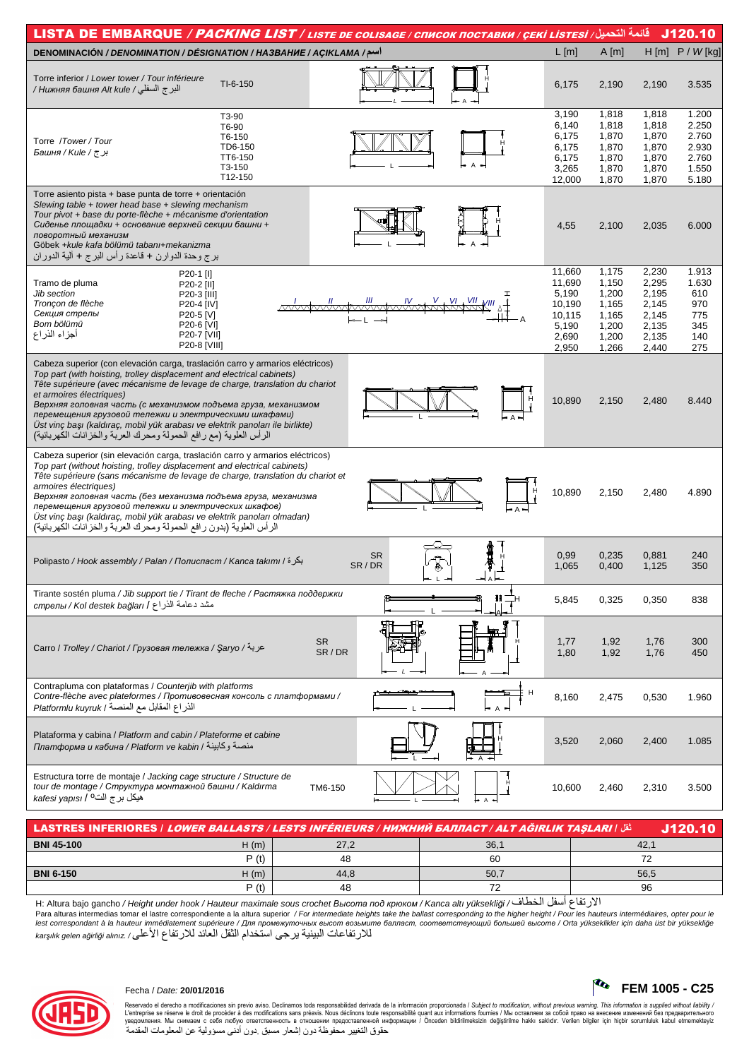| قائمة التحميل/ LISTA DE EMBARQUE / PACKING LIST / LISTE DE COLISAGE / CПИСОК ПОСТАВКИ / ÇEKİ LİSTESİ                                                                                                                                                                                                                                                                                                                                                                                                                                                 |                                                                          |                                                                      |                                                                      | J120.10                                                     |
|------------------------------------------------------------------------------------------------------------------------------------------------------------------------------------------------------------------------------------------------------------------------------------------------------------------------------------------------------------------------------------------------------------------------------------------------------------------------------------------------------------------------------------------------------|--------------------------------------------------------------------------|----------------------------------------------------------------------|----------------------------------------------------------------------|-------------------------------------------------------------|
| DENOMINACIÓN / DENOMINATION / DÉSIGNATION / HA3BAHHE / AÇIKLAMA /سم/                                                                                                                                                                                                                                                                                                                                                                                                                                                                                 | $L$ [m]                                                                  | A[m]                                                                 | $H$ [m]                                                              | $P / W$ [kg]                                                |
| Torre inferior / Lower tower / Tour inférieure<br>TI-6-150<br>البر ج السفلي / Нижняя башня Alt kule /                                                                                                                                                                                                                                                                                                                                                                                                                                                | 6,175                                                                    | 2,190                                                                | 2,190                                                                | 3.535                                                       |
| T3-90<br>T6-90<br>T6-150<br>Torre /Tower/Tour<br>TD6-150<br>بر ج / Башня / Kule /<br>TT6-150<br>T3-150<br>T12-150                                                                                                                                                                                                                                                                                                                                                                                                                                    | 3,190<br>6,140<br>6,175<br>6,175<br>6,175<br>3,265<br>12,000             | 1,818<br>1,818<br>1,870<br>1,870<br>1,870<br>1,870<br>1,870          | 1,818<br>1,818<br>1,870<br>1,870<br>1,870<br>1,870<br>1,870          | 1.200<br>2.250<br>2.760<br>2.930<br>2.760<br>1.550<br>5.180 |
| Torre asiento pista + base punta de torre + orientación<br>Slewing table + tower head base + slewing mechanism<br>Tour pivot + base du porte-flèche + mécanisme d'orientation<br>Сиденье площадки + основание верхней секции башни +<br>поворотный механизм<br>Göbek +kule kafa bölümü tabanı+mekanizma<br>برج وحدة الدوارن + قاعدة رأس البرج + ألية الدوران                                                                                                                                                                                         | 4,55                                                                     | 2,100                                                                | 2,035                                                                | 6.000                                                       |
| P20-1 [I]<br>Tramo de pluma<br>P20-2 [II]<br>Jib section<br>P20-3 [III]<br>Tronçon de flèche<br>P20-4 [IV]<br>Секция стрелы<br>P20-5 [V]<br>Bom bölümü<br>P20-6 [VI]<br>أجزاء الذراع<br>P20-7 [VII]<br>P20-8 [VIII]                                                                                                                                                                                                                                                                                                                                  | 11,660<br>11.690<br>5,190<br>10,190<br>10,115<br>5,190<br>2,690<br>2,950 | 1,175<br>1,150<br>1,200<br>1,165<br>1,165<br>1,200<br>1,200<br>1,266 | 2,230<br>2,295<br>2,195<br>2,145<br>2,145<br>2,135<br>2,135<br>2,440 | 1.913<br>1.630<br>610<br>970<br>775<br>345<br>140<br>275    |
| Cabeza superior (con elevación carga, traslación carro y armarios eléctricos)<br>Top part (with hoisting, trolley displacement and electrical cabinets)<br>Tête supérieure (avec mécanisme de levage de charge, translation du chariot<br>et armoires électriques)<br>Верхняя головная часть (с механизмом подъема груза, механизмом<br>перемещения грузовой тележки и электрическими шкафами)<br>Üst vinç başı (kaldıraç, mobil yük arabası ve elektrik panoları ile birlikte)<br>الرأس العلوية (مع رافع الحمولة ومحرك العربة والخزانات الكهربائية) | 10,890                                                                   | 2,150                                                                | 2,480                                                                | 8.440                                                       |
| Cabeza superior (sin elevación carga, traslación carro y armarios eléctricos)<br>Top part (without hoisting, trolley displacement and electrical cabinets)<br>Tête supérieure (sans mécanisme de levage de charge, translation du chariot et<br>armoires électriques)<br>Верхняя головная часть (без механизма подъема груза, механизма<br>перемещения грузовой тележки и электрических шкафов)<br>Üst vinç başı (kaldıraç, mobil yük arabası ve elektrik panoları olmadan)<br>الرأس العلوية (بدون رافع الحمولة ومحرك العربة والخزانات الكهربائية)   | 10,890                                                                   | 2,150                                                                | 2,480                                                                | 4.890                                                       |
| <b>SR</b><br>بكرة / Polipasto / Hook assembly / Palan / Полиспаст / Kanca takımı / أبكرة<br>SR/DR                                                                                                                                                                                                                                                                                                                                                                                                                                                    | 0,99<br>1,065                                                            | 0,235<br>0,400                                                       | 0,881<br>1,125                                                       | 240<br>350                                                  |
| Tirante sostén pluma / Jib support tie / Tirant de fleche / Растяжка поддержки<br>مشد دعامة الذراع / Kol destek bağları / د                                                                                                                                                                                                                                                                                                                                                                                                                          | 5,845                                                                    | 0,325                                                                | 0,350                                                                | 838                                                         |
| <b>SR</b><br>عربة/ Carro / Trolley / Chariot / Грузовая тележка / Şaryo /<br>SR/DR                                                                                                                                                                                                                                                                                                                                                                                                                                                                   | 1,77<br>1,80                                                             | 1,92<br>1,92                                                         | 1,76<br>1,76                                                         | 300<br>450                                                  |
| Contrapluma con plataformas / Counterjib with platforms<br>Н<br>Contre-flèche avec plateformes / Противовесная консоль с платформами /<br>الذراع المقابل مع المنصة / Platformlu kuyruk                                                                                                                                                                                                                                                                                                                                                               | 8,160                                                                    | 2,475                                                                | 0,530                                                                | 1.960                                                       |
| Plataforma y cabina / Platform and cabin / Plateforme et cabine<br>платформа и кабина / Platform ve kabin / منصة وكابينة                                                                                                                                                                                                                                                                                                                                                                                                                             | 3,520                                                                    | 2,060                                                                | 2,400                                                                | 1.085                                                       |
| Estructura torre de montaje / Jacking cage structure / Structure de<br>tour de montage / Структура монтажной башни / Kaldırma<br>TM6-150<br>kafesi yapısı / <sup>0</sup> اند kafesi                                                                                                                                                                                                                                                                                                                                                                  | 10,600                                                                   | 2,460                                                                | 2,310                                                                | 3.500                                                       |

| ثقل الـLASTRES INFERIORES / L <i>OWER BALLASTS / LESTS INFÉRIEURS / HVIXHVIÄ BAJIJACT / ALT AĞIRLIK TASLARI</i><br>J120.10 |      |      |      |      |  |  |  |  |  |  |  |
|----------------------------------------------------------------------------------------------------------------------------|------|------|------|------|--|--|--|--|--|--|--|
| <b>BNI 45-100</b>                                                                                                          | H(m) | 27,2 | 36,1 | 42.7 |  |  |  |  |  |  |  |
|                                                                                                                            | P(t) | 48   | 60   | 70   |  |  |  |  |  |  |  |
| <b>BNI 6-150</b>                                                                                                           | H(m) | 44.8 | 50.7 | 56,5 |  |  |  |  |  |  |  |
|                                                                                                                            | P(t) | 48   |      | 96   |  |  |  |  |  |  |  |

H: Altura bajo gancho / Height under hook / Hauteur maximale sous crochet Bыcoma под крюком / Kanca altı yüksekliği الأرتفاع أسفل الخطاف/ (النفاع المنشأ المسلم)<br>Para alturas intermedias tomar el lastre correspondiente a lest correspondant à la hauteur immédiatement supérieure / Для промежуточных высот возьмите балласт, соответствующий большей высоте / Orta yükseklikler için daha üst bir yüksekliğe<br>karşılık gelen ağırlığı alınız / للارتف



## Fecha / Date: **20/01/2016 FEM 1005 - C25**

Reservado el derecho a modificaciones sin previo aviso. Declinamos toda responsabilidad derivada de la información proporcionada / Subjec*t to modification, without previous warning. This information is supplied without l* حقوق التغيير محفوظة دون إشعار مسبق دون أدنى مسؤولية عن المعلومات المقدمة